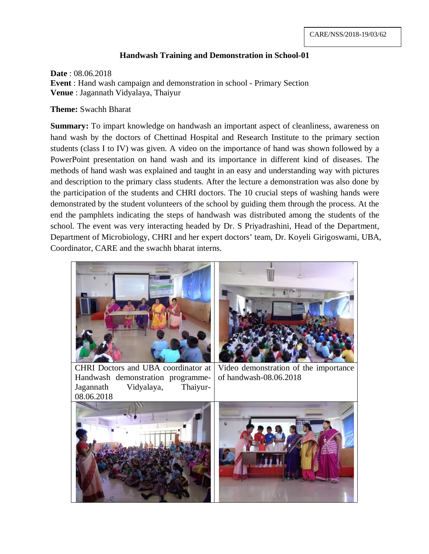## **Handwash Training and Demonstration in School-01**

**Date** : 08.06.2018 **Event** : Hand wash campaign and demonstration in school - Primary Section **Venue** : Jagannath Vidyalaya, Thaiyur

**Theme:** Swachh Bharat

**Summary:** To impart knowledge on handwash an important aspect of cleanliness, awareness on hand wash by the doctors of Chettinad Hospital and Research Institute to the primary section students (class I to IV) was given. A video on the importance of hand was shown followed by a PowerPoint presentation on hand wash and its importance in different kind of diseases. The methods of hand wash was explained and taught in an easy and understanding way with pictures and description to the primary class students. After the lecture a demonstration was also done by the participation of the students and CHRI doctors. The 10 crucial steps of washing hands were demonstrated by the student volunteers of the school by guiding them through the process. At the end the pamphlets indicating the steps of handwash was distributed among the students of the school. The event was very interacting headed by Dr. S Priyadrashini, Head of the Department, Department of Microbiology, CHRI and her expert doctors' team, Dr. Koyeli Girigoswami, UBA, Coordinator, CARE and the swachh bharat interns.



Handwash demonstration programme-Jagannath Vidyalaya, Thaiyur-08.06.2018

Video demonstration of the importance of handwash-08.06.2018